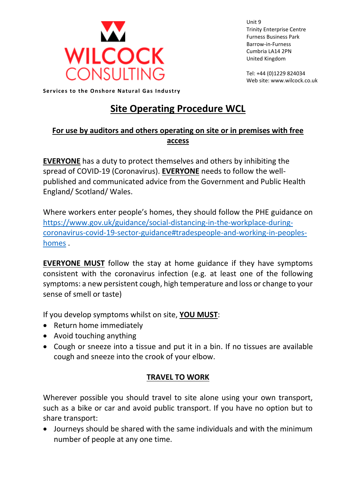

Unit 9 Trinity Enterprise Centre Furness Business Park Barrow-in-Furness Cumbria LA14 2PN United Kingdom

Tel: +44 (0)1229 824034 Web site: www.wilcock.co.uk

**Services to the Onshore Natural Gas Industry** 

# **Site Operating Procedure WCL**

## **For use by auditors and others operating on site or in premises with free access**

**EVERYONE** has a duty to protect themselves and others by inhibiting the spread of COVID-19 (Coronavirus). **EVERYONE** needs to follow the wellpublished and communicated advice from the Government and Public Health England/ Scotland/ Wales.

Where workers enter people's homes, they should follow the PHE guidance on [https://www.gov.uk/guidance/social-distancing-in-the-workplace-during](https://www.gov.uk/guidance/social-distancing-in-the-workplace-during-coronavirus-covid-19-sector-guidance#tradespeople-and-working-in-peoples-homes)[coronavirus-covid-19-sector-guidance#tradespeople-and-working-in-peoples](https://www.gov.uk/guidance/social-distancing-in-the-workplace-during-coronavirus-covid-19-sector-guidance#tradespeople-and-working-in-peoples-homes)[homes](https://www.gov.uk/guidance/social-distancing-in-the-workplace-during-coronavirus-covid-19-sector-guidance#tradespeople-and-working-in-peoples-homes) .

**EVERYONE MUST** follow the stay at home guidance if they have symptoms consistent with the coronavirus infection (e.g. at least one of the following symptoms: a new persistent cough, high temperature and loss or change to your sense of smell or taste)

If you develop symptoms whilst on site, **YOU MUST**:

- Return home immediately
- Avoid touching anything
- Cough or sneeze into a tissue and put it in a bin. If no tissues are available cough and sneeze into the crook of your elbow.

# **TRAVEL TO WORK**

Wherever possible you should travel to site alone using your own transport, such as a bike or car and avoid public transport. If you have no option but to share transport:

• Journeys should be shared with the same individuals and with the minimum number of people at any one time.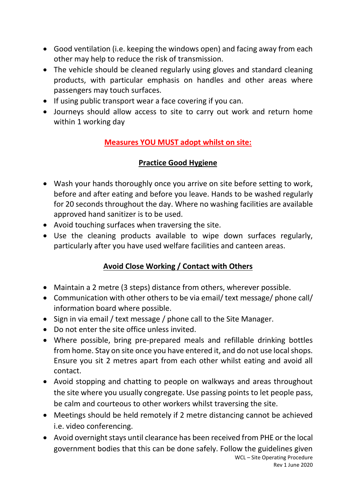- Good ventilation (i.e. keeping the windows open) and facing away from each other may help to reduce the risk of transmission.
- The vehicle should be cleaned regularly using gloves and standard cleaning products, with particular emphasis on handles and other areas where passengers may touch surfaces.
- If using public transport wear a face covering if you can.
- Journeys should allow access to site to carry out work and return home within 1 working day

# **Measures YOU MUST adopt whilst on site:**

### **Practice Good Hygiene**

- Wash your hands thoroughly once you arrive on site before setting to work, before and after eating and before you leave. Hands to be washed regularly for 20 seconds throughout the day. Where no washing facilities are available approved hand sanitizer is to be used.
- Avoid touching surfaces when traversing the site.
- Use the cleaning products available to wipe down surfaces regularly, particularly after you have used welfare facilities and canteen areas.

# **Avoid Close Working / Contact with Others**

- Maintain a 2 metre (3 steps) distance from others, wherever possible.
- Communication with other others to be via email/ text message/ phone call/ information board where possible.
- Sign in via email / text message / phone call to the Site Manager.
- Do not enter the site office unless invited.
- Where possible, bring pre-prepared meals and refillable drinking bottles from home. Stay on site once you have entered it, and do not use local shops. Ensure you sit 2 metres apart from each other whilst eating and avoid all contact.
- Avoid stopping and chatting to people on walkways and areas throughout the site where you usually congregate. Use passing points to let people pass, be calm and courteous to other workers whilst traversing the site.
- Meetings should be held remotely if 2 metre distancing cannot be achieved i.e. video conferencing.
- WCL Site Operating Procedure • Avoid overnight stays until clearance has been received from PHE or the local government bodies that this can be done safely. Follow the guidelines given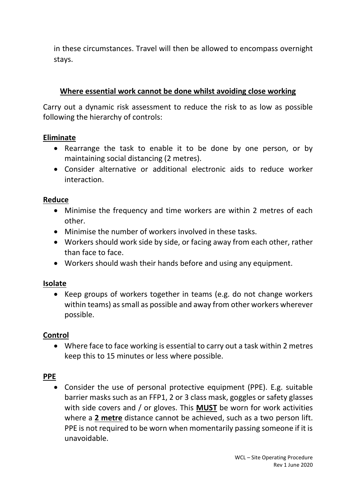in these circumstances. Travel will then be allowed to encompass overnight stays.

#### **Where essential work cannot be done whilst avoiding close working**

Carry out a dynamic risk assessment to reduce the risk to as low as possible following the hierarchy of controls:

#### **Eliminate**

- Rearrange the task to enable it to be done by one person, or by maintaining social distancing (2 metres).
- Consider alternative or additional electronic aids to reduce worker interaction.

#### **Reduce**

- Minimise the frequency and time workers are within 2 metres of each other.
- Minimise the number of workers involved in these tasks.
- Workers should work side by side, or facing away from each other, rather than face to face.
- Workers should wash their hands before and using any equipment.

#### **Isolate**

• Keep groups of workers together in teams (e.g. do not change workers within teams) as small as possible and away from other workers wherever possible.

#### **Control**

• Where face to face working is essential to carry out a task within 2 metres keep this to 15 minutes or less where possible.

#### **PPE**

• Consider the use of personal protective equipment (PPE). E.g. suitable barrier masks such as an FFP1, 2 or 3 class mask, goggles or safety glasses with side covers and / or gloves. This **MUST** be worn for work activities where a **2 metre** distance cannot be achieved, such as a two person lift. PPE is not required to be worn when momentarily passing someone if it is unavoidable.